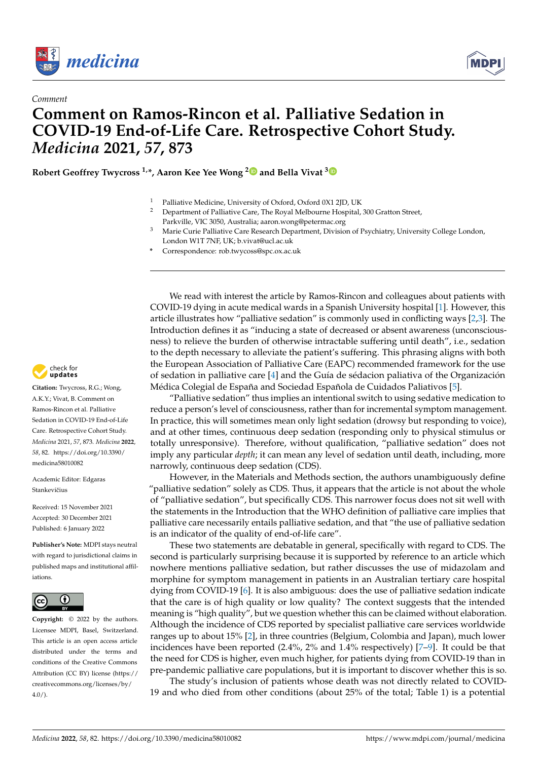



## *Comment* **Comment on Ramos-Rincon et al. Palliative Sedation in COVID-19 End-of-Life Care. Retrospective Cohort Study.** *Medicina* **2021,** *57***, 873**

**Robert Geoffrey Twycross 1,\*, Aaron Kee Yee Wong [2](https://orcid.org/0000-0002-6507-1219) and Bella Vivat [3](https://orcid.org/0000-0002-0587-5688)**

- <sup>1</sup> Palliative Medicine, University of Oxford, Oxford 0X1 2JD, UK<br><sup>2</sup> Department of Palliative Care, The Royal Melbourne Hespital
- <sup>2</sup> Department of Palliative Care, The Royal Melbourne Hospital, 300 Gratton Street,
- Parkville, VIC 3050, Australia; aaron.wong@petermac.org
- <sup>3</sup> Marie Curie Palliative Care Research Department, Division of Psychiatry, University College London, London W1T 7NF, UK; b.vivat@ucl.ac.uk
- **\*** Correspondence: rob.twycoss@spc.ox.ac.uk

We read with interest the article by Ramos-Rincon and colleagues about patients with COVID-19 dying in acute medical wards in a Spanish University hospital [\[1\]](#page-1-0). However, this article illustrates how "palliative sedation" is commonly used in conflicting ways [\[2,](#page-1-1)[3\]](#page-1-2). The Introduction defines it as "inducing a state of decreased or absent awareness (unconsciousness) to relieve the burden of otherwise intractable suffering until death", i.e., sedation to the depth necessary to alleviate the patient's suffering. This phrasing aligns with both the European Association of Palliative Care (EAPC) recommended framework for the use of sedation in palliative care [\[4\]](#page-1-3) and the Guía de sédacion paliativa of the Organización Médica Colegial de España and Sociedad Española de Cuidados Paliativos [\[5\]](#page-1-4).

"Palliative sedation" thus implies an intentional switch to using sedative medication to reduce a person's level of consciousness, rather than for incremental symptom management. In practice, this will sometimes mean only light sedation (drowsy but responding to voice), and at other times, continuous deep sedation (responding only to physical stimulus or totally unresponsive). Therefore, without qualification, "palliative sedation" does not imply any particular *depth*; it can mean any level of sedation until death, including, more narrowly, continuous deep sedation (CDS).

However, in the Materials and Methods section, the authors unambiguously define "palliative sedation" solely as CDS. Thus, it appears that the article is not about the whole of "palliative sedation", but specifically CDS. This narrower focus does not sit well with the statements in the Introduction that the WHO definition of palliative care implies that palliative care necessarily entails palliative sedation, and that "the use of palliative sedation is an indicator of the quality of end-of-life care".

These two statements are debatable in general, specifically with regard to CDS. The second is particularly surprising because it is supported by reference to an article which nowhere mentions palliative sedation, but rather discusses the use of midazolam and morphine for symptom management in patients in an Australian tertiary care hospital dying from COVID-19 [\[6\]](#page-1-5). It is also ambiguous: does the use of palliative sedation indicate that the care is of high quality or low quality? The context suggests that the intended meaning is "high quality", but we question whether this can be claimed without elaboration. Although the incidence of CDS reported by specialist palliative care services worldwide ranges up to about 15% [\[2\]](#page-1-1), in three countries (Belgium, Colombia and Japan), much lower incidences have been reported (2.4%, 2% and 1.4% respectively) [\[7–](#page-1-6)[9\]](#page-1-7). It could be that the need for CDS is higher, even much higher, for patients dying from COVID-19 than in pre-pandemic palliative care populations, but it is important to discover whether this is so.

The study's inclusion of patients whose death was not directly related to COVID-19 and who died from other conditions (about 25% of the total; Table 1) is a potential



**Citation:** Twycross, R.G.; Wong, A.K.Y.; Vivat, B. Comment on Ramos-Rincon et al. Palliative Sedation in COVID-19 End-of-Life Care. Retrospective Cohort Study. *Medicina* 2021, *57*, 873. *Medicina* **2022**, *58*, 82. [https://doi.org/10.3390/](https://doi.org/10.3390/medicina58010082) [medicina58010082](https://doi.org/10.3390/medicina58010082)

Academic Editor: Edgaras Stankevičius

Received: 15 November 2021 Accepted: 30 December 2021 Published: 6 January 2022

**Publisher's Note:** MDPI stays neutral with regard to jurisdictional claims in published maps and institutional affiliations.



**Copyright:** © 2022 by the authors. Licensee MDPI, Basel, Switzerland. This article is an open access article distributed under the terms and conditions of the Creative Commons Attribution (CC BY) license [\(https://](https://creativecommons.org/licenses/by/4.0/) [creativecommons.org/licenses/by/](https://creativecommons.org/licenses/by/4.0/) **Example 12.1 11 12.1 11 12.1 11 12.1 11 12.1 11 12.1 12.1 12.1 12.1 12.1 12.1 12.1 12.1 12.1 12.1 12.1 12.1 12.1 12.1 12.1 12.1 12.1 12.1 12.1 12.1 12.1 12.1 12.1 12.1 12.1 12.1 12.1 12.1 12.1 12.1 12.1 12.1 12.1 12.1 12.**